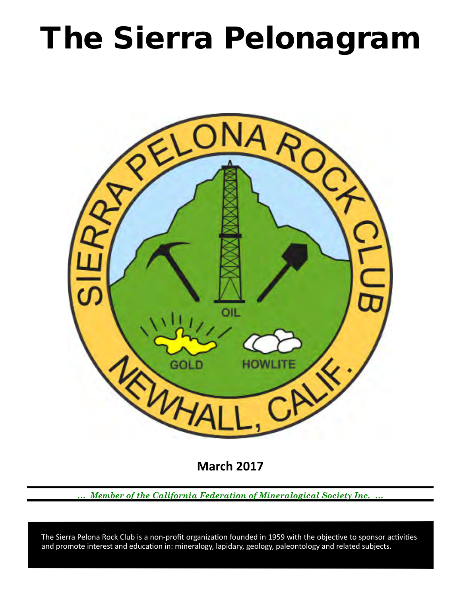# The Sierra Pelonagram



**March 2017**

*… Member of the California Federation of Mineralogical Society Inc. …*

 and promote interest and education in: mineralogy, lapidary, geology, paleontology and related subjects. The Sierra Pelona Rock Club is a non-profit organization founded in 1959 with the objective to sponsor activities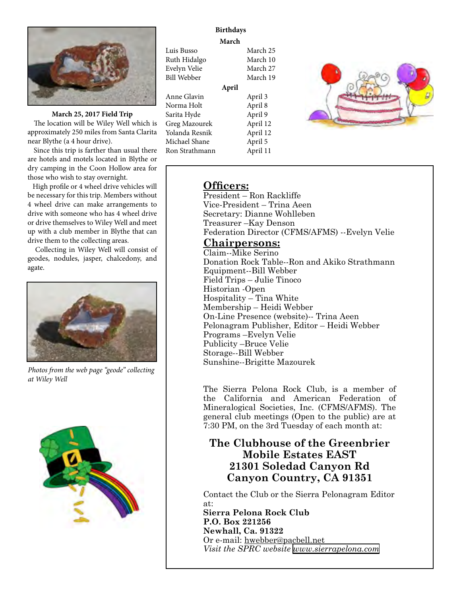

**March 25, 2017 Field Trip** 

 The location will be Wiley Well which is approximately 250 miles from Santa Clarita near Blythe (a 4 hour drive).

 Since this trip is farther than usual there are hotels and motels located in Blythe or dry camping in the Coon Hollow area for those who wish to stay overnight.

 High profile or 4 wheel drive vehicles will be necessary for this trip. Members without 4 wheel drive can make arrangements to drive with someone who has 4 wheel drive or drive themselves to Wiley Well and meet up with a club member in Blythe that can drive them to the collecting areas.

 Collecting in Wiley Well will consist of geodes, nodules, jasper, chalcedony, and agate.



*Photos from the web page "geode" collecting at Wiley Well* 



# **Birthdays**

**March**

| Luis Busso     |       | March 25 |
|----------------|-------|----------|
| Ruth Hidalgo   |       | March 10 |
| Evelyn Velie   |       | March 27 |
| Bill Webber    |       | March 19 |
|                | April |          |
| Anne Glavin    |       | April 3  |
| Norma Holt     |       | April 8  |
| Sarita Hyde    |       | April 9  |
| Greg Mazourek  |       | April 12 |
| Yolanda Resnik |       | April 12 |
| Michael Shane  |       | April 5  |
| Ron Strathmann |       | April 11 |



# **Officers:**

President – Ron Rackliffe Vice‑President – Trina Aeen Secretary: Dianne Wohlleben Treasurer –Kay Denson Federation Director (CFMS/AFMS) --Evelyn Velie

# **Chairpersons:**

Claim--Mike Serino Donation Rock Table--Ron and Akiko Strathmann Equipment--Bill Webber Field Trips – Julie Tinoco Historian ‑Open Hospitality – Tina White Membership – Heidi Webber On-Line Presence (website)-- Trina Aeen Pelonagram Publisher, Editor – Heidi Webber Programs –Evelyn Velie Publicity –Bruce Velie Storage--Bill Webber Sunshine--Brigitte Mazourek

The Sierra Pelona Rock Club, is a member of the California and American Federation of Mineralogical Societies, Inc. (CFMS/AFMS). The general club meetings (Open to the public) are at 7:30 PM, on the 3rd Tuesday of each month at:

# **The Clubhouse of the Greenbrier Mobile Estates EAST 21301 Soledad Canyon Rd Canyon Country, CA 91351**

Contact the Club or the Sierra Pelonagram Editor at:

**Sierra Pelona Rock Club P.O. Box 221256 Newhall, Ca. 91322** Or e‑mail: hwebber@pacbell.net *Visit the SPRC website [www.sierrapelona.com](http://www.sierrapelona.com/)*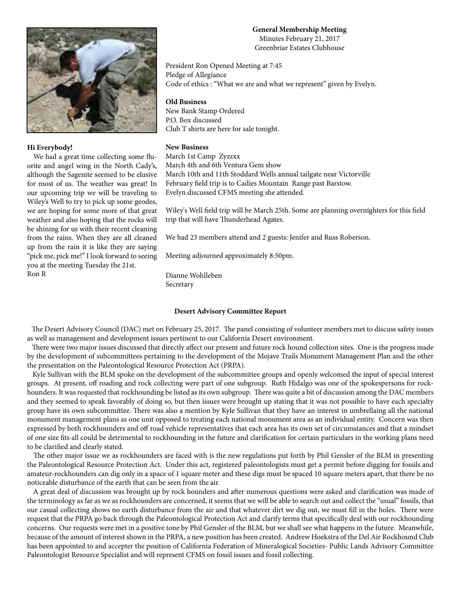

## **Hi Everybody!**

 We had a great time collecting some fluorite and angel wing in the North Cady's, although the Sagenite seemed to be elusive for most of us. The weather was great! In our upcoming trip we will be traveling to Wiley's Well to try to pick up some geodes, we are hoping for some more of that great weather and also hoping that the rocks will be shining for us with their recent cleaning from the rains. When they are all cleaned up from the rain it is like they are saying "pick me, pick me!" I look forward to seeing you at the meeting Tuesday the 21st. Ron R

# **General Membership Meeting**

Minutes February 21, 2017 Greenbriar Estates Clubhouse

President Ron Opened Meeting at 7:45 Pledge of Allegiance Code of ethics : "What we are and what we represent" given by Evelyn.

## **Old Business**

New Bank Stamp Ordered P.O. Box discussed Club T shirts are here for sale tonight.

## **New Business**

March 1st Camp Zyzzxx March 4th and 6th Ventura Gem show March 10th and 11th Stoddard Wells annual tailgate near Victorville February field trip is to Cadies Mountain Range past Barstow. Evelyn discussed CFMS meeting she attended.

Wiley's Well field trip will be March 25th. Some are planning overnighters for this field trip that will have Thunderhead Agates.

We had 23 members attend and 2 guests: Jenifer and Russ Roberson.

Meeting adjourned approximately 8:50pm.

Dianne Wohlleben Secretary

## **Desert Advisory Committee Report**

 The Desert Advisory Council (DAC) met on February 25, 2017. The panel consisting of volunteer members met to discuss safety issues as well as management and development issues pertinent to our California Desert environment.

 There were two major issues discussed that directly affect our present and future rock hound collection sites. One is the progress made by the development of subcommittees pertaining to the development of the Mojave Trails Monument Management Plan and the other the presentation on the Paleontological Resource Protection Act (PRPA).

 Kyle Sullivan with the BLM spoke on the development of the subcommittee groups and openly welcomed the input of special interest groups. At present, off roading and rock collecting were part of one subgroup. Ruth Hidalgo was one of the spokespersons for rockhounders. It was requested that rockhounding be listed as its own subgroup. There was quite a bit of discussion among the DAC members and they seemed to speak favorably of doing so, but then issues were brought up stating that it was not possible to have each specialty group have its own subcommittee. There was also a mention by Kyle Sullivan that they have an interest in umbrellaing all the national monument management plans as one unit opposed to treating each national monument area as an individual entity. Concern was then expressed by both rockhounders and off road vehicle representatives that each area has its own set of circumstances and that a mindset of one size fits all could be detrimental to rockhounding in the future and clarification for certain particulars in the working plans need to be clarified and clearly stated.

 The other major issue we as rockhounders are faced with is the new regulations put forth by Phil Gensler of the BLM in presenting the Paleontological Resource Protection Act. Under this act, registered paleontologists must get a permit before digging for fossils and amateur-rockhounders can dig only in a space of 1 square meter and these digs must be spaced 10 square meters apart, that there be no noticeable disturbance of the earth that can be seen from the air.

 A great deal of discussion was brought up by rock hounders and after numerous questions were asked and clarification was made of the terminology as far as we as rockhounders are concerned, it seems that we will be able to search out and collect the "usual" fossils, that our casual collecting shows no earth disturbance from the air and that whatever dirt we dig out, we must fill in the holes. There were request that the PRPA go back through the Paleontological Protection Act and clarify terms that specifically deal with our rockhounding concerns. Our requests were met in a positive tone by Phil Gensler of the BLM, but we shall see what happens in the future. Meanwhile, because of the amount of interest shown in the PRPA, a new position has been created. Andrew Hoekstra of the Del Air Rockhound Club has been appointed to and accepter the position of California Federation of Mineralogical Societies- Public Lands Advisory Committee Paleontologist Resource Specialist and will represent CFMS on fossil issues and fossil collecting.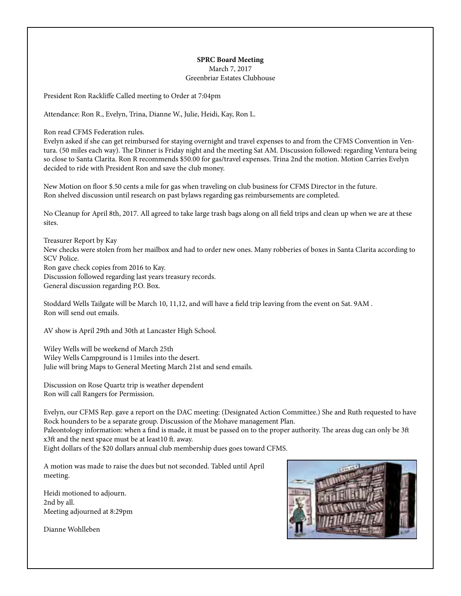#### **SPRC Board Meeting** March 7, 2017

Greenbriar Estates Clubhouse

President Ron Rackliffe Called meeting to Order at 7:04pm

Attendance: Ron R., Evelyn, Trina, Dianne W., Julie, Heidi, Kay, Ron L.

Ron read CFMS Federation rules.

Evelyn asked if she can get reimbursed for staying overnight and travel expenses to and from the CFMS Convention in Ventura. (50 miles each way). The Dinner is Friday night and the meeting Sat AM. Discussion followed: regarding Ventura being so close to Santa Clarita. Ron R recommends \$50.00 for gas/travel expenses. Trina 2nd the motion. Motion Carries Evelyn decided to ride with President Ron and save the club money.

New Motion on floor \$.50 cents a mile for gas when traveling on club business for CFMS Director in the future. Ron shelved discussion until research on past bylaws regarding gas reimbursements are completed.

No Cleanup for April 8th, 2017. All agreed to take large trash bags along on all field trips and clean up when we are at these sites.

Treasurer Report by Kay New checks were stolen from her mailbox and had to order new ones. Many robberies of boxes in Santa Clarita according to SCV Police. Ron gave check copies from 2016 to Kay. Discussion followed regarding last years treasury records. General discussion regarding P.O. Box.

Stoddard Wells Tailgate will be March 10, 11,12, and will have a field trip leaving from the event on Sat. 9AM . Ron will send out emails.

AV show is April 29th and 30th at Lancaster High School.

Wiley Wells will be weekend of March 25th Wiley Wells Campground is 11miles into the desert. Julie will bring Maps to General Meeting March 21st and send emails.

Discussion on Rose Quartz trip is weather dependent Ron will call Rangers for Permission.

Evelyn, our CFMS Rep. gave a report on the DAC meeting: (Designated Action Committee.) She and Ruth requested to have Rock hounders to be a separate group. Discussion of the Mohave management Plan. Paleontology information: when a find is made, it must be passed on to the proper authority. The areas dug can only be 3ft x3ft and the next space must be at least10 ft. away. Eight dollars of the \$20 dollars annual club membership dues goes toward CFMS.

A motion was made to raise the dues but not seconded. Tabled until April meeting.

Heidi motioned to adjourn. 2nd by all. Meeting adjourned at 8:29pm

Dianne Wohlleben